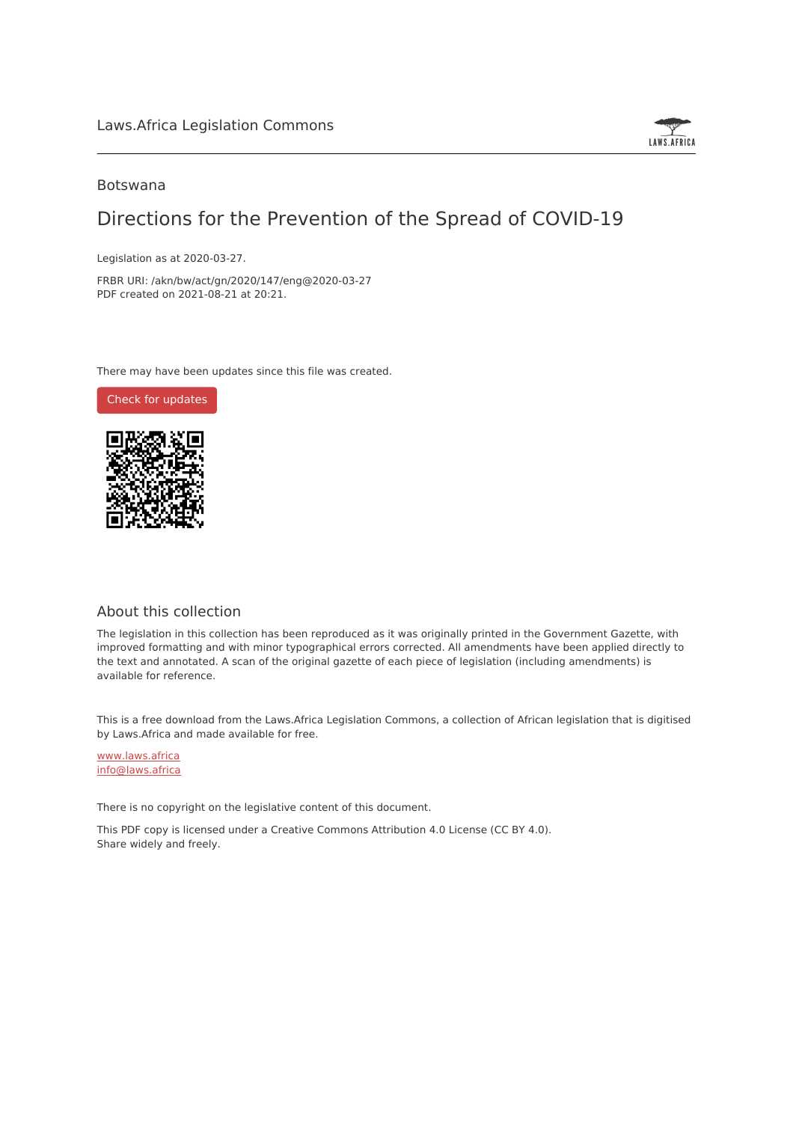

### Botswana

# Directions for the Prevention of the Spread of COVID-19

Legislation as at 2020-03-27.

FRBR URI: /akn/bw/act/gn/2020/147/eng@2020-03-27 PDF created on 2021-08-21 at 20:21.

There may have been updates since this file was created.

Check for [updates](https://commons.laws.africa/akn/bw/act/gn/2020/147/eng@2020-03-27?ts=2021-08-21T20:21:32.121915+00:00)



## About this collection

The legislation in this collection has been reproduced as it was originally printed in the Government Gazette, with improved formatting and with minor typographical errors corrected. All amendments have been applied directly to the text and annotated. A scan of the original gazette of each piece of legislation (including amendments) is available for reference.

This is a free download from the Laws.Africa Legislation Commons, a collection of African legislation that is digitised by Laws.Africa and made available for free.

[www.laws.africa](https://www.laws.africa) [info@laws.africa](mailto:info@laws.africa)

There is no copyright on the legislative content of this document.

This PDF copy is licensed under a Creative Commons Attribution 4.0 License (CC BY 4.0). Share widely and freely.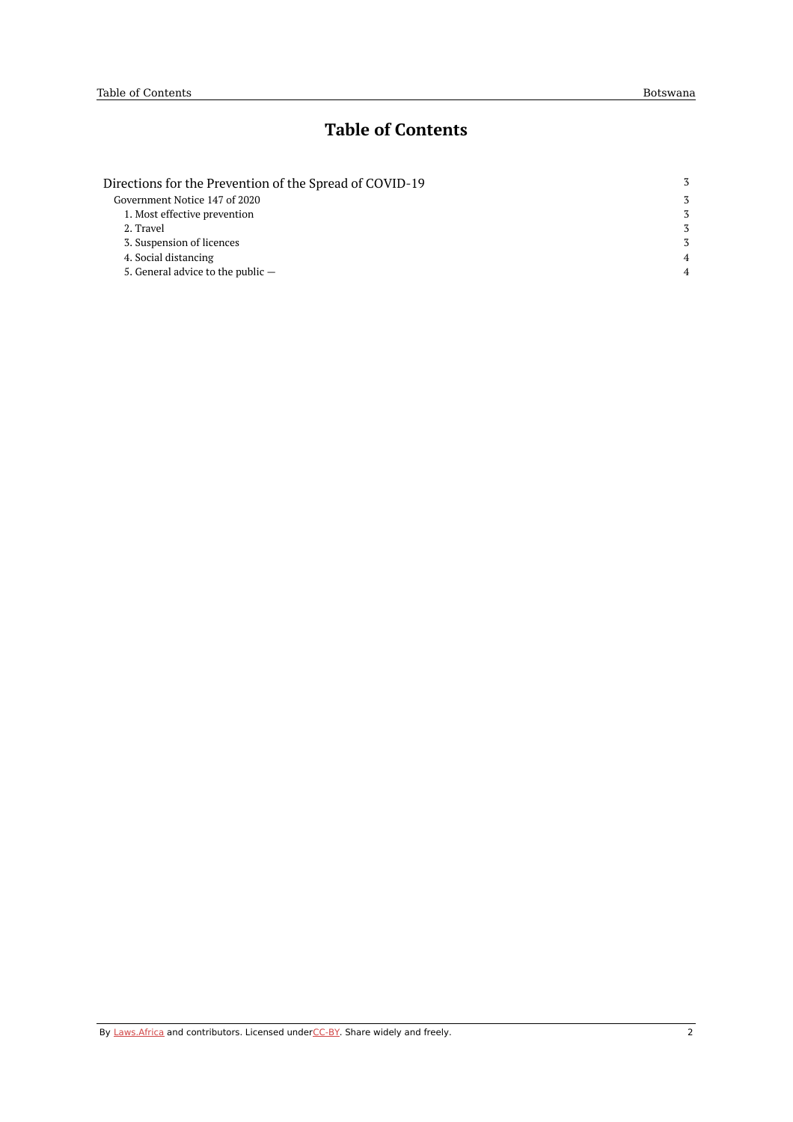# **Table of Contents**

| Directions for the Prevention of the Spread of COVID-19 | 3              |
|---------------------------------------------------------|----------------|
| Government Notice 147 of 2020                           | 3              |
| 1. Most effective prevention                            | 3              |
| 2. Travel                                               | 3              |
| 3. Suspension of licences                               | 3              |
| 4. Social distancing                                    | $\overline{4}$ |
| 5. General advice to the public $-$                     | $\overline{4}$ |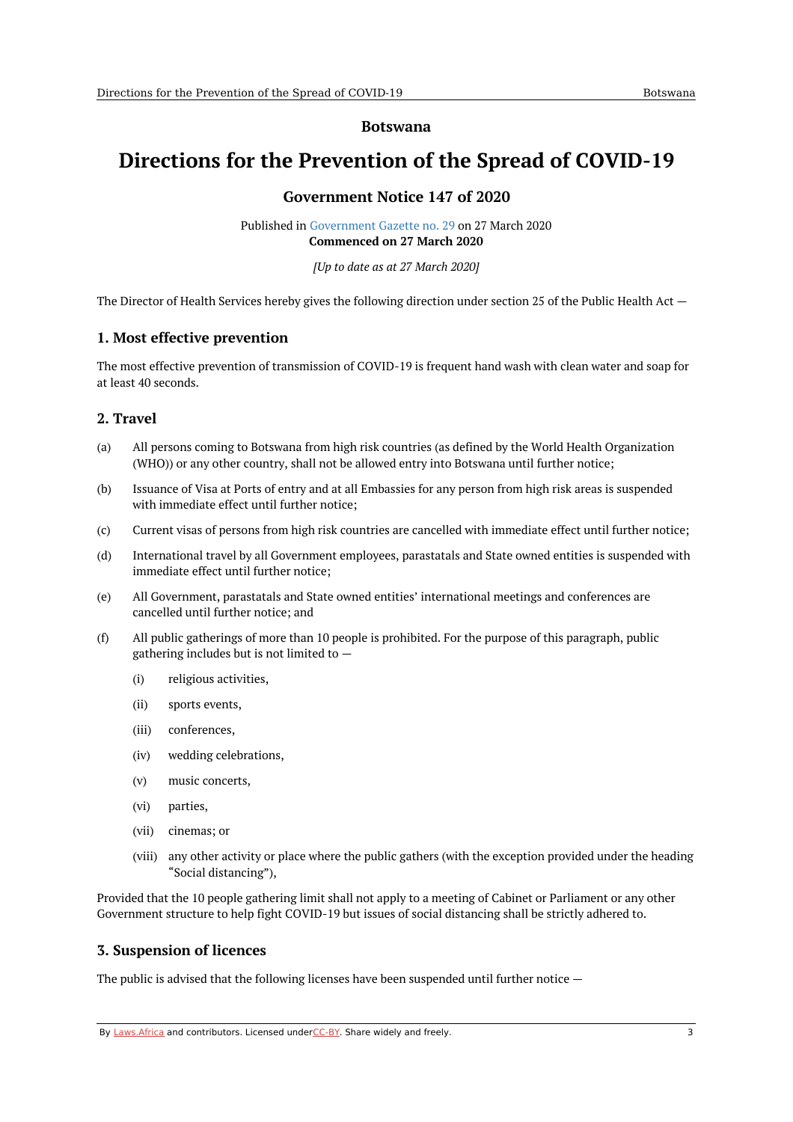#### **Botswana**

# <span id="page-2-1"></span><span id="page-2-0"></span>**Directions for the Prevention of the Spread of COVID-19**

## **Government Notice 147 of 2020**

Published in [Government](https://commons.laws.africa/akn/bw/act/gn/2020/147/media/publication/bw-act-gn-2020-147-publication-document.pdf) Gazette no. 29 on 27 March 2020 **Commenced on 27 March 2020**

*[Up to date as at 27 March 2020]*

The Director of Health Services hereby gives the following direction under section 25 of the Public Health Act —

## <span id="page-2-2"></span>**1. Most effective prevention**

The most effective prevention of transmission of COVID-19 is frequent hand wash with clean water and soap for at least 40 seconds.

### <span id="page-2-3"></span>**2. Travel**

- (a) All persons coming to Botswana from high risk countries (as defined by the World Health Organization (WHO)) or any other country, shall not be allowed entry into Botswana until further notice;
- (b) Issuance of Visa at Ports of entry and at all Embassies for any person from high risk areas is suspended with immediate effect until further notice;
- (c) Current visas of persons from high risk countries are cancelled with immediate effect until further notice;
- (d) International travel by all Government employees, parastatals and State owned entities is suspended with immediate effect until further notice;
- (e) All Government, parastatals and State owned entities' international meetings and conferences are cancelled until further notice; and
- (f) All public gatherings of more than 10 people is prohibited. For the purpose of this paragraph, public gathering includes but is not limited to —
	- (i) religious activities,
	- (ii) sports events,
	- (iii) conferences,
	- (iv) wedding celebrations,
	- (v) music concerts,
	- (vi) parties,
	- (vii) cinemas; or
	- (viii) any other activity or place where the public gathers (with the exception provided under the heading "Social distancing"),

Provided that the 10 people gathering limit shall not apply to a meeting of Cabinet or Parliament or any other Government structure to help fight COVID-19 but issues of social distancing shall be strictly adhered to.

### <span id="page-2-4"></span>**3. Suspension of licences**

The public is advised that the following licenses have been suspended until further notice —

By [Laws.Africa](https://edit.laws.africa/widgets/pdf-attribution) and contributors. Licensed und[erCC-B](https://edit.laws.africa/widgets/pdf-cc-by)Y. Share widely and freely. 3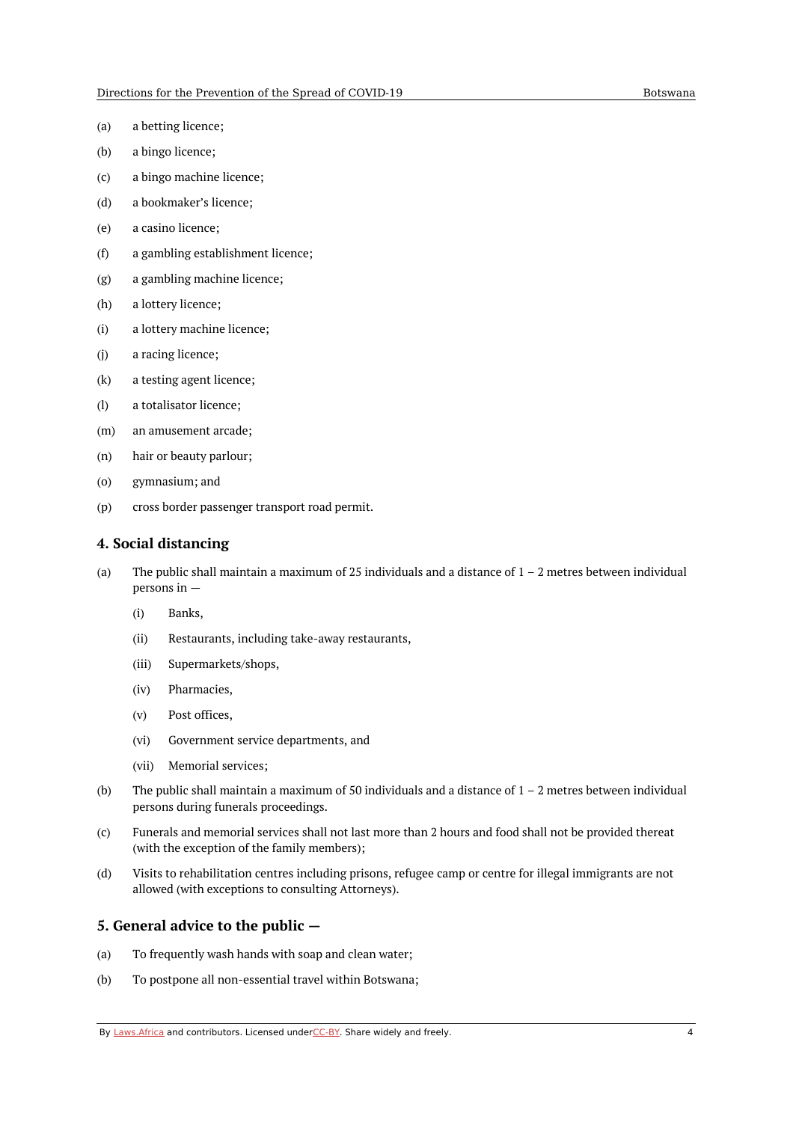- (a) a betting licence;
- (b) a bingo licence;
- (c) a bingo machine licence;
- (d) a bookmaker's licence;
- (e) a casino licence;
- (f) a gambling establishment licence;
- (g) a gambling machine licence;
- (h) a lottery licence;
- (i) a lottery machine licence;
- (j) a racing licence;
- (k) a testing agent licence;
- (l) a totalisator licence;
- (m) an amusement arcade;
- (n) hair or beauty parlour;
- (o) gymnasium; and
- (p) cross border passenger transport road permit.

#### <span id="page-3-0"></span>**4. Social distancing**

- (a) The public shall maintain a maximum of 25 individuals and a distance of  $1 - 2$  metres between individual persons in —
	- (i) Banks,
	- (ii) Restaurants, including take-away restaurants,
	- (iii) Supermarkets/shops,
	- (iv) Pharmacies,
	- (v) Post offices,
	- (vi) Government service departments, and
	- (vii) Memorial services;
- (b) The public shall maintain a maximum of 50 individuals and a distance of  $1 - 2$  metres between individual persons during funerals proceedings.
- (c) Funerals and memorial services shall not last more than 2 hours and food shall not be provided thereat (with the exception of the family members);
- (d) Visits to rehabilitation centres including prisons, refugee camp or centre for illegal immigrants are not allowed (with exceptions to consulting Attorneys).

#### <span id="page-3-1"></span>**5. General advice to the public —**

- (a) To frequently wash hands with soap and clean water;
- (b) To postpone all non-essential travel within Botswana;

By [Laws.Africa](https://edit.laws.africa/widgets/pdf-attribution) and contributors. Licensed und[erCC-B](https://edit.laws.africa/widgets/pdf-cc-by)Y. Share widely and freely. 4